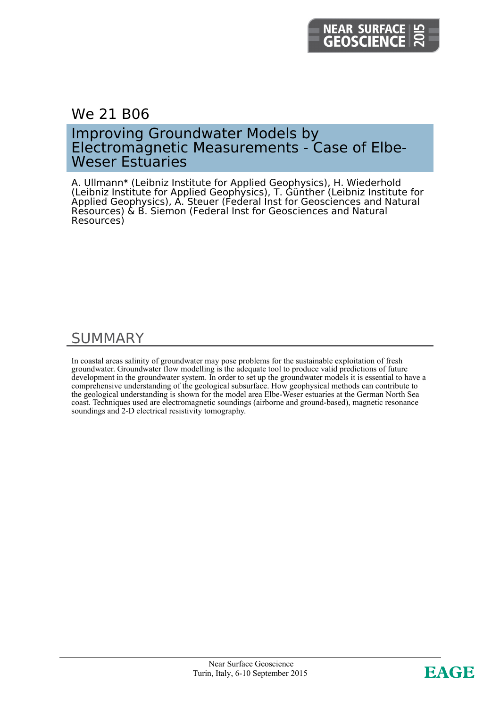## We 21 B06

### Improving Groundwater Models by Electromagnetic Measurements - Case of Elbe-Weser Estuaries

A. Ullmann\* (Leibniz Institute for Applied Geophysics), H. Wiederhold (Leibniz Institute for Applied Geophysics), T. Günther (Leibniz Institute for Applied Geophysics), A. Steuer (Federal Inst for Geosciences and Natural Resources) & B. Siemon (Federal Inst for Geosciences and Natural Resources)

## SUMMARY

In coastal areas salinity of groundwater may pose problems for the sustainable exploitation of fresh groundwater. Groundwater flow modelling is the adequate tool to produce valid predictions of future development in the groundwater system. In order to set up the groundwater models it is essential to have a comprehensive understanding of the geological subsurface. How geophysical methods can contribute to the geological understanding is shown for the model area Elbe-Weser estuaries at the German North Sea coast. Techniques used are electromagnetic soundings (airborne and ground-based), magnetic resonance soundings and 2-D electrical resistivity tomography.

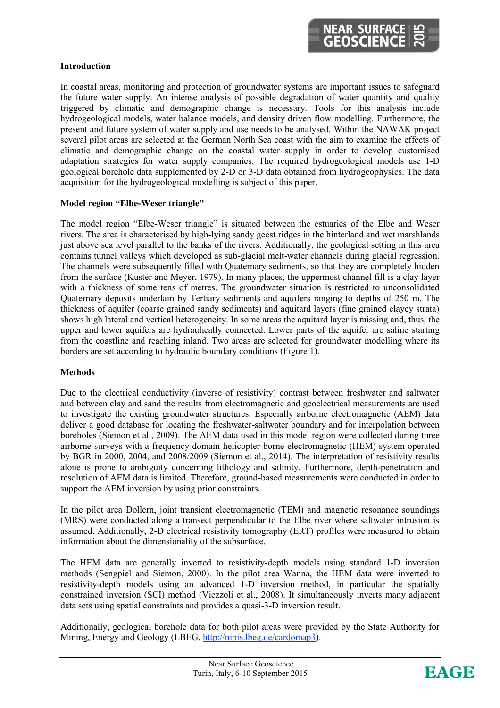### **Introduction**

In coastal areas, monitoring and protection of groundwater systems are important issues to safeguard the future water supply. An intense analysis of possible degradation of water quantity and quality triggered by climatic and demographic change is necessary. Tools for this analysis include hydrogeological models, water balance models, and density driven flow modelling. Furthermore, the present and future system of water supply and use needs to be analysed. Within the NAWAK project several pilot areas are selected at the German North Sea coast with the aim to examine the effects of climatic and demographic change on the coastal water supply in order to develop customised adaptation strategies for water supply companies. The required hydrogeological models use 1-D geological borehole data supplemented by 2-D or 3-D data obtained from hydrogeophysics. The data acquisition for the hydrogeological modelling is subject of this paper.

### **Model region "Elbe-Weser triangle"**

The model region "Elbe-Weser triangle" is situated between the estuaries of the Elbe and Weser rivers. The area is characterised by high-lying sandy geest ridges in the hinterland and wet marshlands just above sea level parallel to the banks of the rivers. Additionally, the geological setting in this area contains tunnel valleys which developed as sub-glacial melt-water channels during glacial regression. The channels were subsequently filled with Quaternary sediments, so that they are completely hidden from the surface (Kuster and Meyer, 1979). In many places, the uppermost channel fill is a clay layer with a thickness of some tens of metres. The groundwater situation is restricted to unconsolidated Quaternary deposits underlain by Tertiary sediments and aquifers ranging to depths of 250 m. The thickness of aquifer (coarse grained sandy sediments) and aquitard layers (fine grained clayey strata) shows high lateral and vertical heterogeneity. In some areas the aquitard layer is missing and, thus, the upper and lower aquifers are hydraulically connected. Lower parts of the aquifer are saline starting from the coastline and reaching inland. Two areas are selected for groundwater modelling where its borders are set according to hydraulic boundary conditions (Figure 1).

### **Methods**

Due to the electrical conductivity (inverse of resistivity) contrast between freshwater and saltwater and between clay and sand the results from electromagnetic and geoelectrical measurements are used to investigate the existing groundwater structures. Especially airborne electromagnetic (AEM) data deliver a good database for locating the freshwater-saltwater boundary and for interpolation between boreholes (Siemon et al., 2009). The AEM data used in this model region were collected during three airborne surveys with a frequency-domain helicopter-borne electromagnetic (HEM) system operated by BGR in 2000, 2004, and 2008/2009 (Siemon et al., 2014). The interpretation of resistivity results alone is prone to ambiguity concerning lithology and salinity. Furthermore, depth-penetration and resolution of AEM data is limited. Therefore, ground-based measurements were conducted in order to support the AEM inversion by using prior constraints.

In the pilot area Dollern, joint transient electromagnetic (TEM) and magnetic resonance soundings (MRS) were conducted along a transect perpendicular to the Elbe river where saltwater intrusion is assumed. Additionally, 2-D electrical resistivity tomography (ERT) profiles were measured to obtain information about the dimensionality of the subsurface.

The HEM data are generally inverted to resistivity-depth models using standard 1-D inversion methods (Sengpiel and Siemon, 2000). In the pilot area Wanna, the HEM data were inverted to resistivity-depth models using an advanced 1-D inversion method, in particular the spatially constrained inversion (SCI) method (Viezzoli et al., 2008). It simultaneously inverts many adjacent data sets using spatial constraints and provides a quasi-3-D inversion result.

Additionally, geological borehole data for both pilot areas were provided by the State Authority for Mining, Energy and Geology (LBEG, http://nibis.lbeg.de/cardomap3).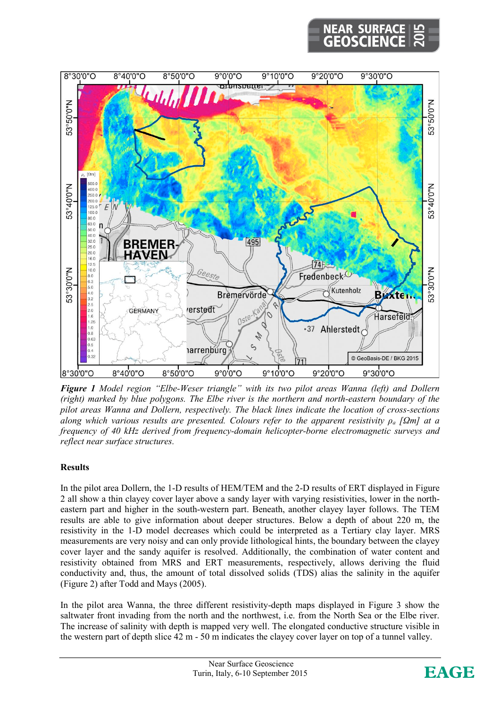# **NEAR SURF**



*Figure 1 Model region "Elbe-Weser triangle" with its two pilot areas Wanna (left) and Dollern (right) marked by blue polygons. The Elbe river is the northern and north-eastern boundary of the pilot areas Wanna and Dollern, respectively. The black lines indicate the location of cross-sections along which various results are presented. Colours refer to the apparent resistivity ρ<sup>a</sup> [Ωm] at a frequency of 40 kHz derived from frequency-domain helicopter-borne electromagnetic surveys and reflect near surface structures.* 

### **Results**

In the pilot area Dollern, the 1-D results of HEM/TEM and the 2-D results of ERT displayed in Figure 2 all show a thin clayey cover layer above a sandy layer with varying resistivities, lower in the northeastern part and higher in the south-western part. Beneath, another clayey layer follows. The TEM results are able to give information about deeper structures. Below a depth of about 220 m, the resistivity in the 1-D model decreases which could be interpreted as a Tertiary clay layer. MRS measurements are very noisy and can only provide lithological hints, the boundary between the clayey cover layer and the sandy aquifer is resolved. Additionally, the combination of water content and resistivity obtained from MRS and ERT measurements, respectively, allows deriving the fluid conductivity and, thus, the amount of total dissolved solids (TDS) alias the salinity in the aquifer (Figure 2) after Todd and Mays (2005).

In the pilot area Wanna, the three different resistivity-depth maps displayed in Figure 3 show the saltwater front invading from the north and the northwest, i.e. from the North Sea or the Elbe river. The increase of salinity with depth is mapped very well. The elongated conductive structure visible in the western part of depth slice 42 m - 50 m indicates the clayey cover layer on top of a tunnel valley.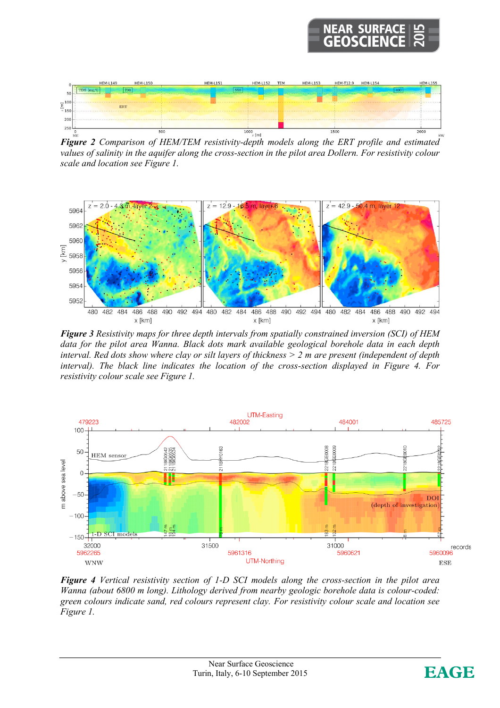# **NEAR SURF**



*values of salinity in the aquifer along the cross-section in the pilot area Dollern. For resistivity colour scale and location see Figure 1.* 



*Figure 3 Resistivity maps for three depth intervals from spatially constrained inversion (SCI) of HEM data for the pilot area Wanna. Black dots mark available geological borehole data in each depth interval. Red dots show where clay or silt layers of thickness > 2 m are present (independent of depth interval). The black line indicates the location of the cross-section displayed in Figure 4. For resistivity colour scale see Figure 1.* 



*Figure 4 Vertical resistivity section of 1-D SCI models along the cross-section in the pilot area Wanna (about 6800 m long). Lithology derived from nearby geologic borehole data is colour-coded: green colours indicate sand, red colours represent clay. For resistivity colour scale and location see Figure 1.*